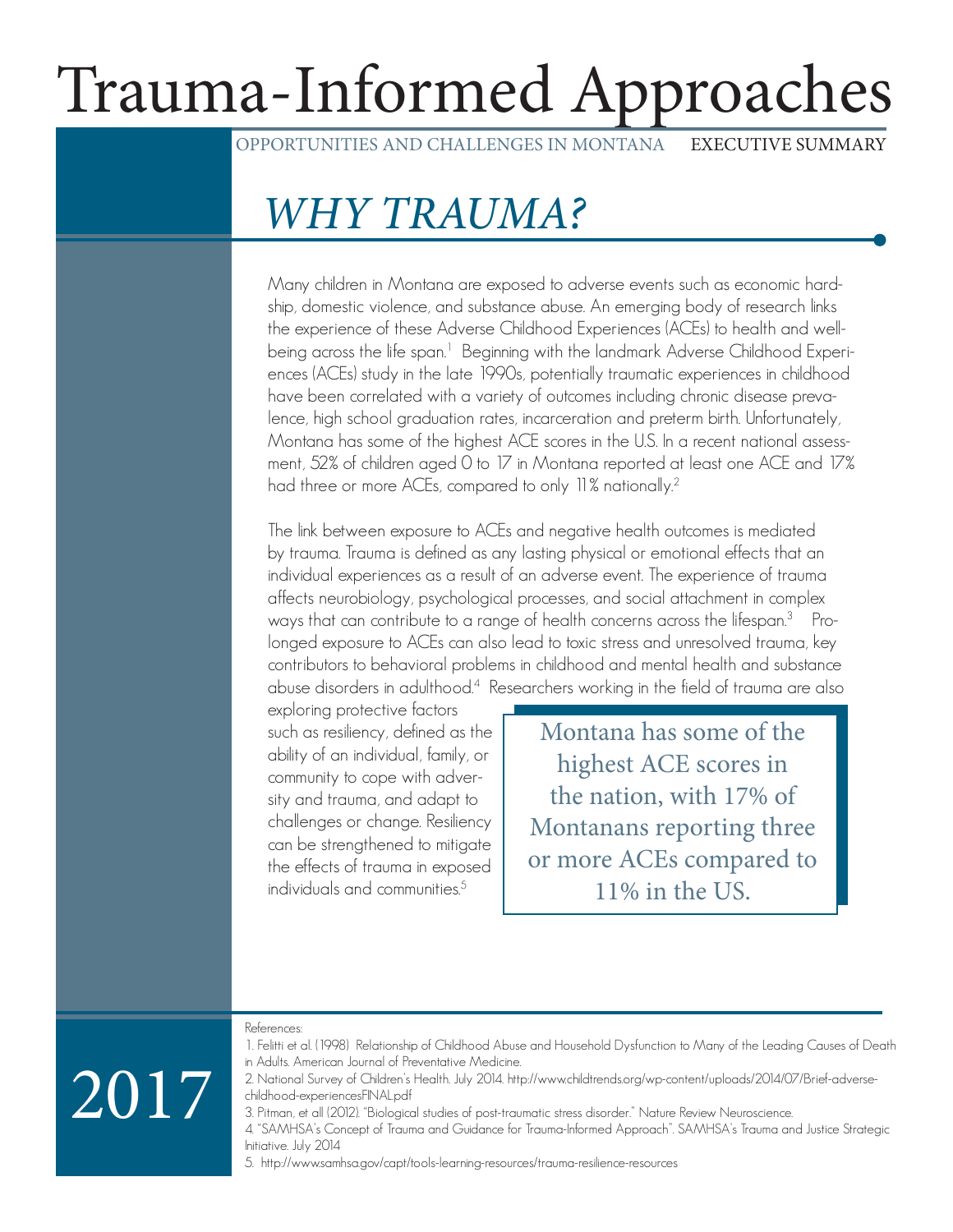# Trauma-Informed Approaches

OPPORTUNITIES AND CHALLENGES IN MONTANA EXECUTIVE SUMMARY

### WHY TRAUMA?

Many children in Montana are exposed to adverse events such as economic hardship, domestic violence, and substance abuse. An emerging body of research links the experience of these Adverse Childhood Experiences (ACEs) to health and wellbeing across the life span.<sup>1</sup> Beginning with the landmark Adverse Childhood Experiences (ACEs) study in the late 1990s, potentially traumatic experiences in childhood have been correlated with a variety of outcomes including chronic disease prevalence, high school graduation rates, incarceration and preterm birth. Unfortunately, Montana has some of the highest ACE scores in the U.S. In a recent national assessment, 52% of children aged 0 to 17 in Montana reported at least one ACE and 17% had three or more ACEs, compared to only 11% nationally.<sup>2</sup>

The link between exposure to ACEs and negative health outcomes is mediated by trauma. Trauma is defined as any lasting physical or emotional effects that an individual experiences as a result of an adverse event. The experience of trauma affects neurobiology, psychological processes, and social attachment in complex ways that can contribute to a range of health concerns across the lifespan.<sup>3</sup> Prolonged exposure to ACEs can also lead to toxic stress and unresolved trauma, key contributors to behavioral problems in childhood and mental health and substance abuse disorders in adulthood.<sup>4</sup> Researchers working in the field of trauma are also

exploring protective factors such as resiliency, defined as the ability of an individual, family, or community to cope with adversity and trauma, and adapt to challenges or change. Resiliency can be strengthened to mitigate the effects of trauma in exposed individuals and communities  $5$ 

Montana has some of the highest ACE scores in the nation, with 17% of Montanans reporting three or more ACEs compared to 11% in the US.

#### References: 1. Felitti et al. (1998) Relationship of Childhood Abuse and Household Dysfunction to Many of the Leading Causes of Death

# 2017

in Adults. American Journal of Preventative Medicine. 2. National Survey of Children's Health. July 2014. http://www.childtrends.org/wp-content/uploads/2014/07/Brief-adverse-

childhood-experiencesFINAL.pdf 3. Pitman, et all (2012). "Biological studies of post-traumatic stress disorder." Nature Review Neuroscience. 4. "SAMHSA's Concept of Trauma and Guidance for Trauma-Informed Approach". SAMHSA's Trauma and Justice Strategic Initiative. July 2014

5. http://www.samhsa.gov/capt/tools-learning-resources/trauma-resilience-resources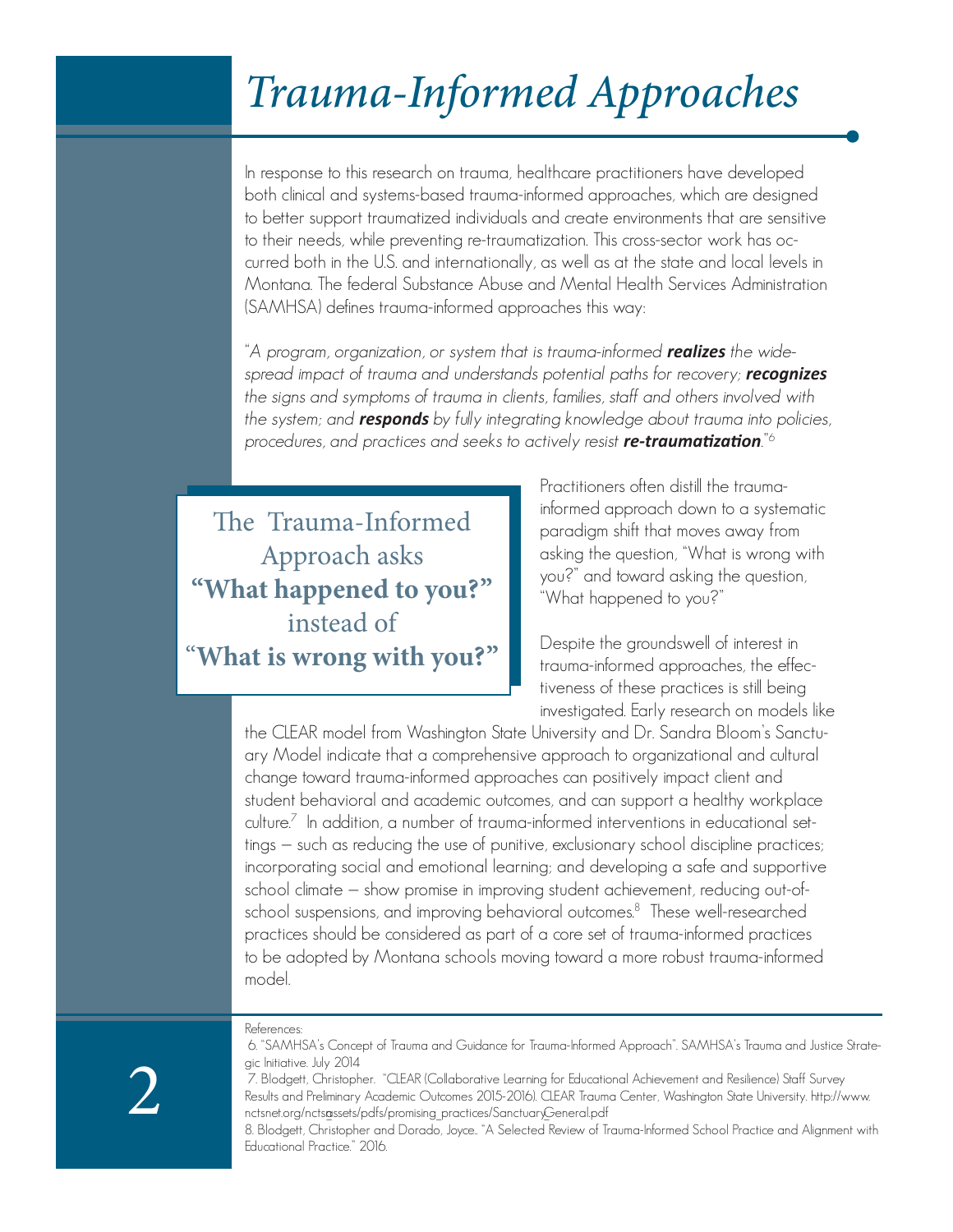### Trauma-Informed Approaches

In response to this research on trauma, healthcare practitioners have developed both clinical and systems-based trauma-informed approaches, which are designed to better support traumatized individuals and create environments that are sensitive to their needs, while preventing re-traumatization. This cross-sector work has occurred both in the U.S. and internationally, as well as at the state and local levels in Montana. The federal Substance Abuse and Mental Health Services Administration (SAMHSA) defines trauma-informed approaches this way:

"A program, organization, or system that is trauma-informed *realizes* the widespread impact of trauma and understands potential paths for recovery; *recognizes*  the signs and symptoms of trauma in clients, families, staff and others involved with the system; and *responds* by fully integrating knowledge about trauma into policies, procedures, and practices and seeks to actively resist *re-traumatization*."<sup>6</sup>

The Trauma-Informed Approach asks **"What happened to you?"**  instead of "**What is wrong with you?"** Practitioners often distill the traumainformed approach down to a systematic paradigm shift that moves away from asking the question, "What is wrong with you?" and toward asking the question, "What happened to you?"

Despite the groundswell of interest in trauma-informed approaches, the effectiveness of these practices is still being investigated. Early research on models like

the CLEAR model from Washington State University and Dr. Sandra Bloom's Sanctuary Model indicate that a comprehensive approach to organizational and cultural change toward trauma-informed approaches can positively impact client and student behavioral and academic outcomes, and can support a healthy workplace culture.<sup>7</sup> In addition, a number of trauma-informed interventions in educational settings — such as reducing the use of punitive, exclusionary school discipline practices; incorporating social and emotional learning; and developing a safe and supportive school climate — show promise in improving student achievement, reducing out-ofschool suspensions, and improving behavioral outcomes.<sup>8</sup> These well-researched practices should be considered as part of a core set of trauma-informed practices to be adopted by Montana schools moving toward a more robust trauma-informed model.

References:

 <sup>6. &</sup>quot;SAMHSA's Concept of Trauma and Guidance for Trauma-Informed Approach". SAMHSA's Trauma and Justice Strategic Initiative. July 2014

 <sup>7.</sup> Blodgett, Christopher. "CLEAR (Collaborative Learning for Educational Achievement and Resilience) Staff Survey Results and Preliminary Academic Outcomes 2015-2016). CLEAR Trauma Center, Washington State University. http://www. nctsnet.org/nctsassets/pdfs/promising\_practices/SanctuaryGeneral.pdf

<sup>8.</sup> Blodgett, Christopher and Dorado, Joyce.. "A Selected Review of Trauma-Informed School Practice and Alignment with Educational Practice." 2016.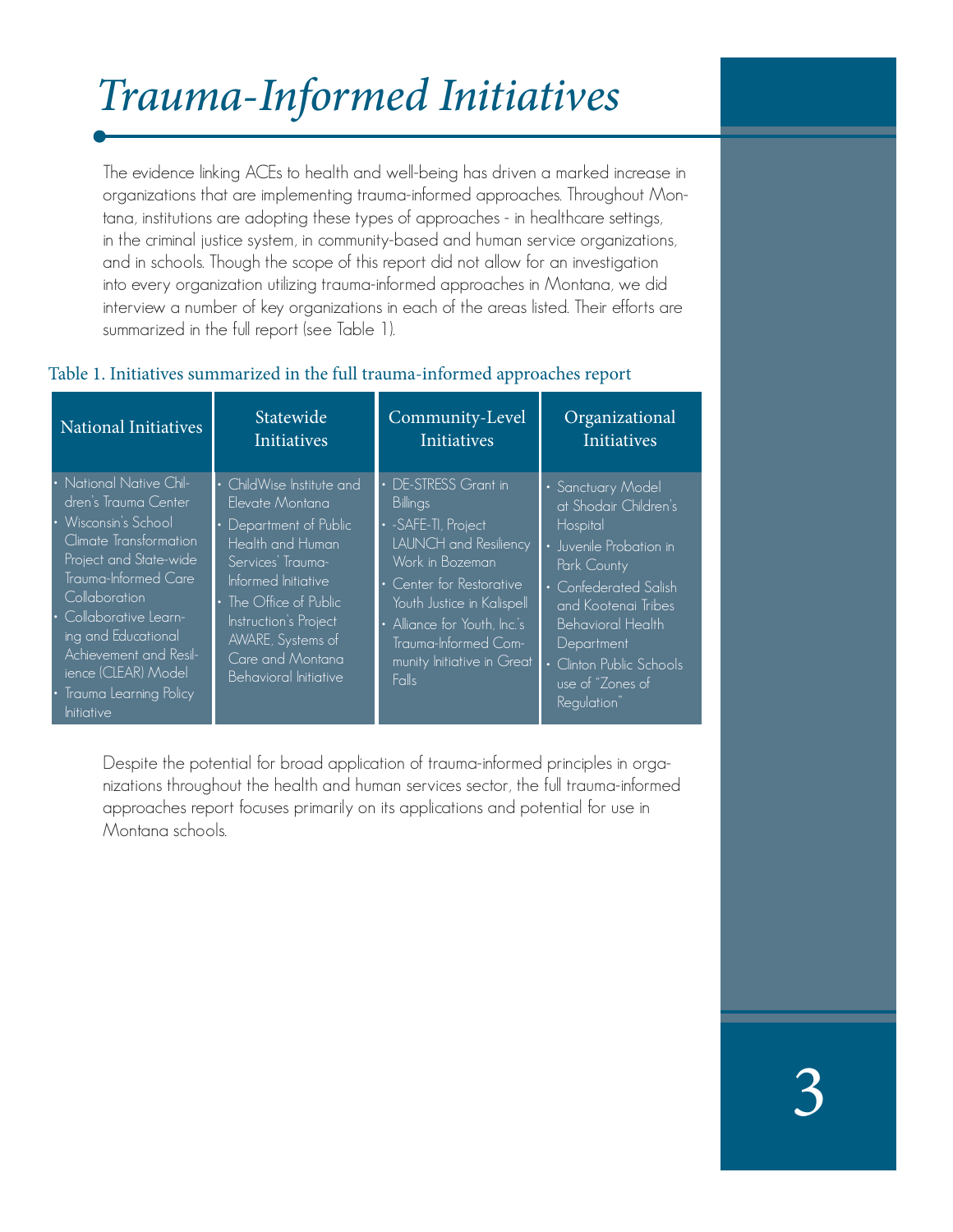# Trauma-Informed Initiatives

The evidence linking ACEs to health and well-being has driven a marked increase in organizations that are implementing trauma-informed approaches. Throughout Montana, institutions are adopting these types of approaches - in healthcare settings, in the criminal justice system, in community-based and human service organizations, and in schools. Though the scope of this report did not allow for an investigation into every organization utilizing trauma-informed approaches in Montana, we did interview a number of key organizations in each of the areas listed. Their efforts are summarized in the full report (see Table 1).

#### Table 1. Initiatives summarized in the full trauma-informed approaches report

| National Initiatives                                                                                                                                                                                                                                                                                                              | Statewide                                                                                                                                                                                                                                                 | Community-Level                                                                                                                                                                                                                                                           | Organizational                                                                                                                                                                                                                                                   |
|-----------------------------------------------------------------------------------------------------------------------------------------------------------------------------------------------------------------------------------------------------------------------------------------------------------------------------------|-----------------------------------------------------------------------------------------------------------------------------------------------------------------------------------------------------------------------------------------------------------|---------------------------------------------------------------------------------------------------------------------------------------------------------------------------------------------------------------------------------------------------------------------------|------------------------------------------------------------------------------------------------------------------------------------------------------------------------------------------------------------------------------------------------------------------|
|                                                                                                                                                                                                                                                                                                                                   | Initiatives                                                                                                                                                                                                                                               | Initiatives                                                                                                                                                                                                                                                               | Initiatives                                                                                                                                                                                                                                                      |
| • National Native Chil-<br>dren's Trauma Center<br>· Wisconsin's School<br>Climate Transformation<br>Project and State-wide<br>Trauma-Informed Care<br>Collaboration<br>Collaborative Learn-<br>ing and Educational<br>Achievement and Resil-<br>ience (CLEAR) Model<br>Trauma Learning Policy<br><i><u><b>Initiative</b></u></i> | • ChildWise Institute and<br>Elevate Montana<br>Department of Public<br>Health and Human<br>Services' Trauma-<br>Informed Initiative<br>• The Office of Public<br>Instruction's Project<br>AWARE, Systems of<br>Care and Montana<br>Behavioral Initiative | <b>DE-STRESS</b> Grant in<br>Billings<br>• - SAFE-TI, Project<br><b>LAUNCH</b> and Resiliency<br>Work in Bozeman<br>• Center for Restorative<br>Youth Justice in Kalispell<br>• Alliance for Youth, Inc.'s<br>Trauma-Informed Com-<br>munity Initiative in Great<br>Falls | • Sanctuary Model<br>at Shodair Children's<br><b>Hospital</b><br>• Juvenile Probation in<br>Park County<br>• Confederated Salish<br>and Kootenai Tribes<br><b>Behavioral Health</b><br>Department<br>• Clinton Public Schools<br>use of "Zones of<br>Regulation" |

Despite the potential for broad application of trauma-informed principles in organizations throughout the health and human services sector, the full trauma-informed approaches report focuses primarily on its applications and potential for use in Montana schools.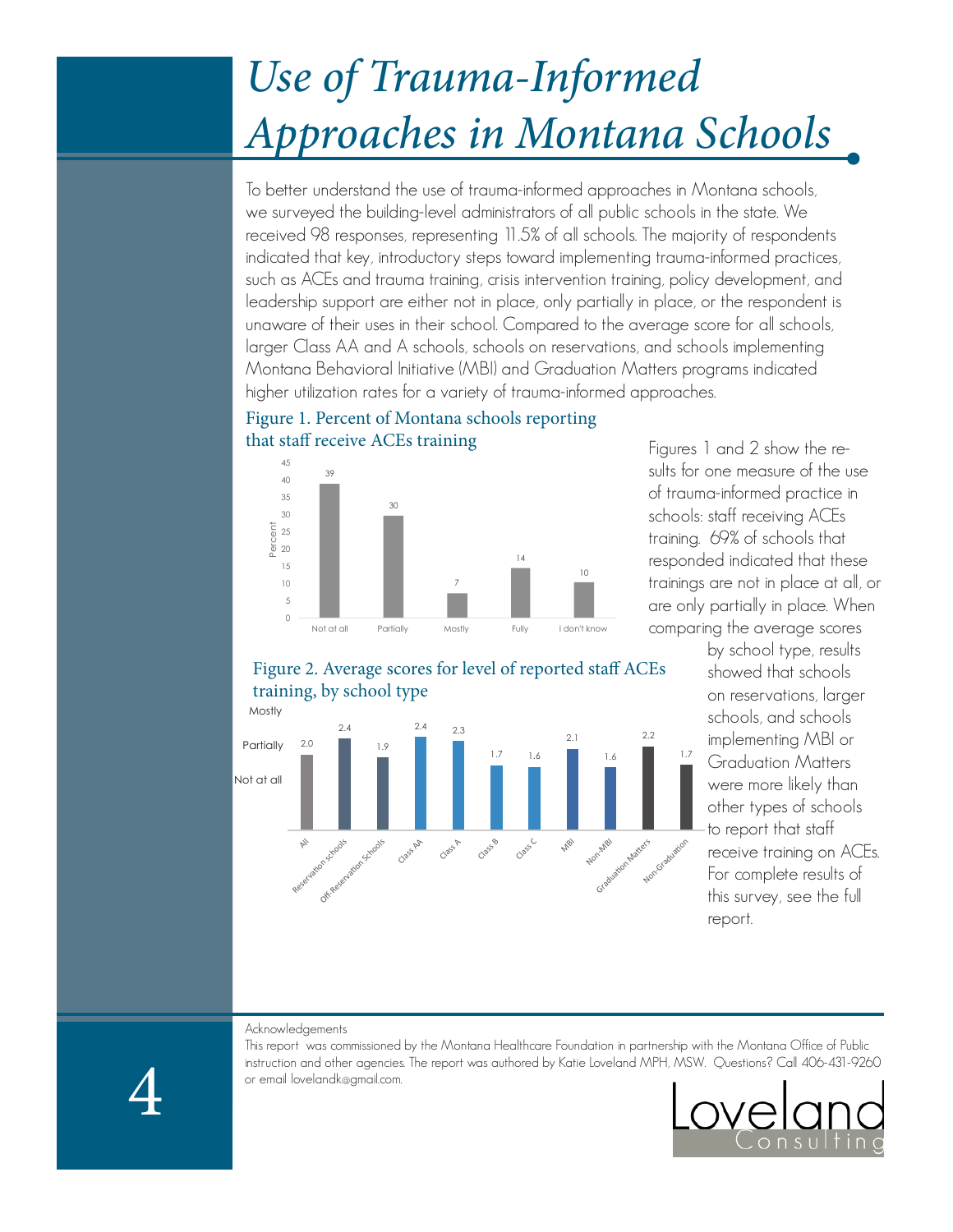## Use of Trauma-Informed Approaches in Montana Schools

To better understand the use of trauma-informed approaches in Montana schools, we surveyed the building-level administrators of all public schools in the state. We received 98 responses, representing 11.5% of all schools. The majority of respondents indicated that key, introductory steps toward implementing trauma-informed practices, such as ACEs and trauma training, crisis intervention training, policy development, and leadership support are either not in place, only partially in place, or the respondent is unaware of their uses in their school. Compared to the average score for all schools, larger Class AA and A schools, schools on reservations, and schools implementing Montana Behavioral Initiative (MBI) and Graduation Matters programs indicated higher utilization rates for a variety of trauma-informed approaches.

#### Figure 1. Percent of Montana schools reporting that staff receive ACEs training



Figures 1 and 2 show the results for one measure of the use of trauma-informed practice in schools: staff receiving ACEs training. 69% of schools that responded indicated that these trainings are not in place at all, or are only partially in place. When comparing the average scores

Figure 2. Average scores for level of reported staff ACEs training, by school type



by school type, results showed that schools on reservations, larger schools, and schools implementing MBI or Graduation Matters were more likely than other types of schools to report that staff receive training on ACEs. For complete results of this survey, see the full report.

Acknowledgements

This report was commissioned by the Montana Healthcare Foundation in partnership with the Montana Office of Public instruction and other agencies. The report was authored by Katie Loveland MPH, MSW. Questions? Call 406-431-9260 or email lovelandk@gmail.com.